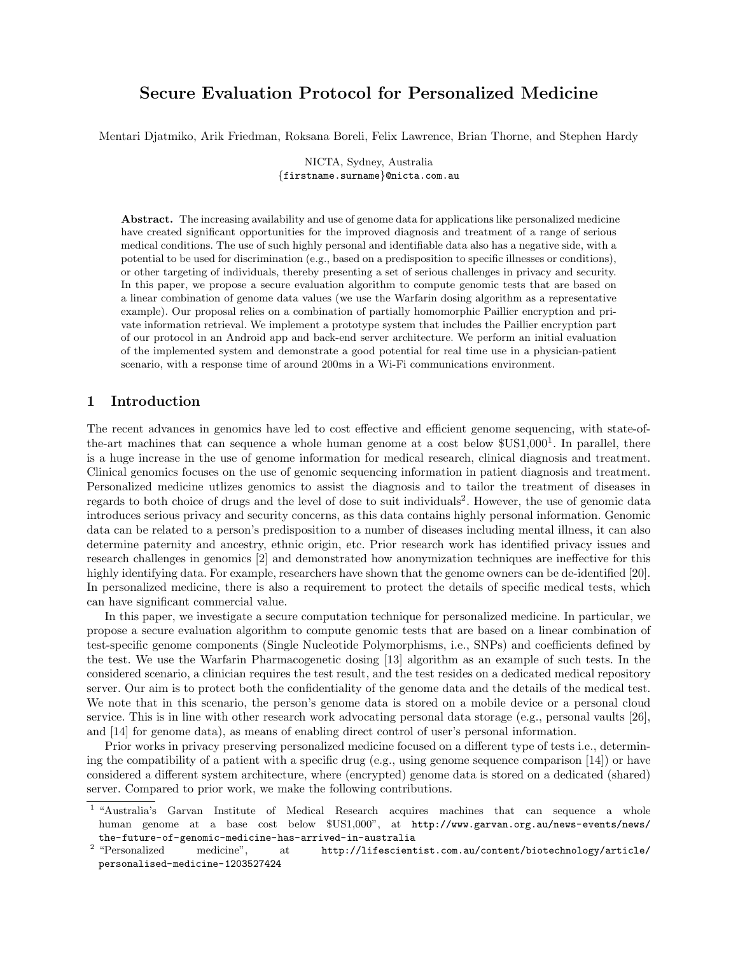# Secure Evaluation Protocol for Personalized Medicine

Mentari Djatmiko, Arik Friedman, Roksana Boreli, Felix Lawrence, Brian Thorne, and Stephen Hardy

NICTA, Sydney, Australia {firstname.surname}@nicta.com.au

Abstract. The increasing availability and use of genome data for applications like personalized medicine have created significant opportunities for the improved diagnosis and treatment of a range of serious medical conditions. The use of such highly personal and identifiable data also has a negative side, with a potential to be used for discrimination (e.g., based on a predisposition to specific illnesses or conditions), or other targeting of individuals, thereby presenting a set of serious challenges in privacy and security. In this paper, we propose a secure evaluation algorithm to compute genomic tests that are based on a linear combination of genome data values (we use the Warfarin dosing algorithm as a representative example). Our proposal relies on a combination of partially homomorphic Paillier encryption and private information retrieval. We implement a prototype system that includes the Paillier encryption part of our protocol in an Android app and back-end server architecture. We perform an initial evaluation of the implemented system and demonstrate a good potential for real time use in a physician-patient scenario, with a response time of around 200ms in a Wi-Fi communications environment.

# 1 Introduction

The recent advances in genomics have led to cost effective and efficient genome sequencing, with state-ofthe-art machines that can sequence a whole human genome at a cost below  $USS1,000^1$ . In parallel, there is a huge increase in the use of genome information for medical research, clinical diagnosis and treatment. Clinical genomics focuses on the use of genomic sequencing information in patient diagnosis and treatment. Personalized medicine utlizes genomics to assist the diagnosis and to tailor the treatment of diseases in regards to both choice of drugs and the level of dose to suit individuals<sup>2</sup>. However, the use of genomic data introduces serious privacy and security concerns, as this data contains highly personal information. Genomic data can be related to a person's predisposition to a number of diseases including mental illness, it can also determine paternity and ancestry, ethnic origin, etc. Prior research work has identified privacy issues and research challenges in genomics [2] and demonstrated how anonymization techniques are ineffective for this highly identifying data. For example, researchers have shown that the genome owners can be de-identified [20]. In personalized medicine, there is also a requirement to protect the details of specific medical tests, which can have significant commercial value.

In this paper, we investigate a secure computation technique for personalized medicine. In particular, we propose a secure evaluation algorithm to compute genomic tests that are based on a linear combination of test-specific genome components (Single Nucleotide Polymorphisms, i.e., SNPs) and coefficients defined by the test. We use the Warfarin Pharmacogenetic dosing [13] algorithm as an example of such tests. In the considered scenario, a clinician requires the test result, and the test resides on a dedicated medical repository server. Our aim is to protect both the confidentiality of the genome data and the details of the medical test. We note that in this scenario, the person's genome data is stored on a mobile device or a personal cloud service. This is in line with other research work advocating personal data storage (e.g., personal vaults [26], and [14] for genome data), as means of enabling direct control of user's personal information.

Prior works in privacy preserving personalized medicine focused on a different type of tests i.e., determining the compatibility of a patient with a specific drug (e.g., using genome sequence comparison [14]) or have considered a different system architecture, where (encrypted) genome data is stored on a dedicated (shared) server. Compared to prior work, we make the following contributions.

<sup>&</sup>lt;sup>1</sup> "Australia's Garvan Institute of Medical Research acquires machines that can sequence a whole human genome at a base cost below \$US1,000", at http://www.garvan.org.au/news-events/news/ the-future-of-genomic-medicine-has-arrived-in-australia

 $^{\rm 2}$  "Personalized medicine", at http://lifescientist.com.au/content/biotechnology/article/ personalised-medicine-1203527424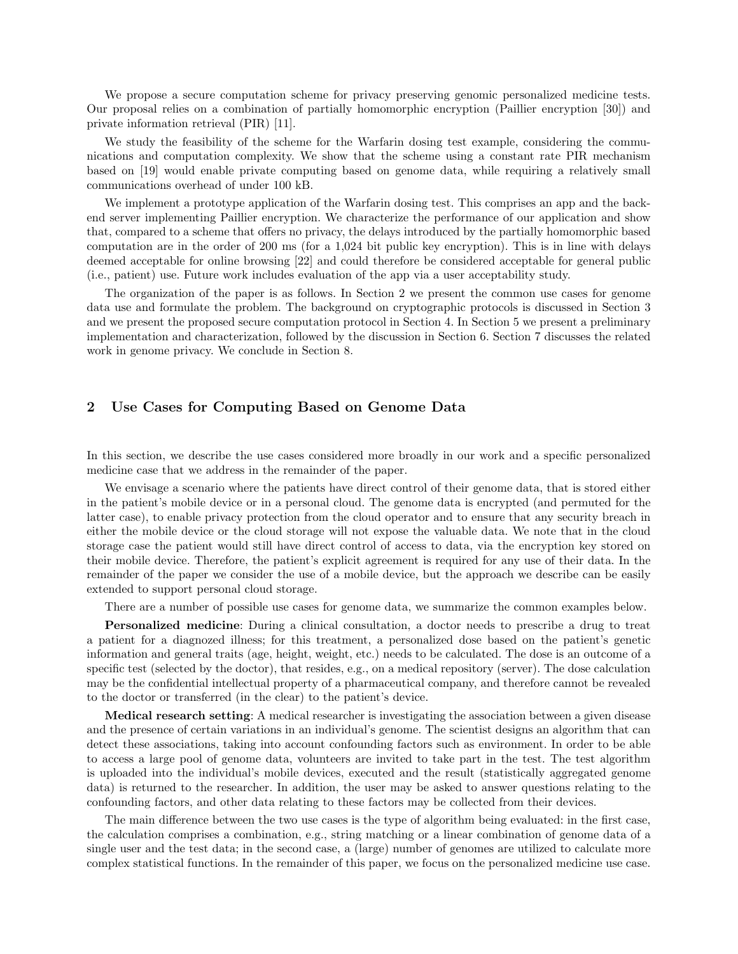We propose a secure computation scheme for privacy preserving genomic personalized medicine tests. Our proposal relies on a combination of partially homomorphic encryption (Paillier encryption [30]) and private information retrieval (PIR) [11].

We study the feasibility of the scheme for the Warfarin dosing test example, considering the communications and computation complexity. We show that the scheme using a constant rate PIR mechanism based on [19] would enable private computing based on genome data, while requiring a relatively small communications overhead of under 100 kB.

We implement a prototype application of the Warfarin dosing test. This comprises an app and the backend server implementing Paillier encryption. We characterize the performance of our application and show that, compared to a scheme that offers no privacy, the delays introduced by the partially homomorphic based computation are in the order of 200 ms (for a 1,024 bit public key encryption). This is in line with delays deemed acceptable for online browsing [22] and could therefore be considered acceptable for general public (i.e., patient) use. Future work includes evaluation of the app via a user acceptability study.

The organization of the paper is as follows. In Section 2 we present the common use cases for genome data use and formulate the problem. The background on cryptographic protocols is discussed in Section 3 and we present the proposed secure computation protocol in Section 4. In Section 5 we present a preliminary implementation and characterization, followed by the discussion in Section 6. Section 7 discusses the related work in genome privacy. We conclude in Section 8.

# 2 Use Cases for Computing Based on Genome Data

In this section, we describe the use cases considered more broadly in our work and a specific personalized medicine case that we address in the remainder of the paper.

We envisage a scenario where the patients have direct control of their genome data, that is stored either in the patient's mobile device or in a personal cloud. The genome data is encrypted (and permuted for the latter case), to enable privacy protection from the cloud operator and to ensure that any security breach in either the mobile device or the cloud storage will not expose the valuable data. We note that in the cloud storage case the patient would still have direct control of access to data, via the encryption key stored on their mobile device. Therefore, the patient's explicit agreement is required for any use of their data. In the remainder of the paper we consider the use of a mobile device, but the approach we describe can be easily extended to support personal cloud storage.

There are a number of possible use cases for genome data, we summarize the common examples below.

Personalized medicine: During a clinical consultation, a doctor needs to prescribe a drug to treat a patient for a diagnozed illness; for this treatment, a personalized dose based on the patient's genetic information and general traits (age, height, weight, etc.) needs to be calculated. The dose is an outcome of a specific test (selected by the doctor), that resides, e.g., on a medical repository (server). The dose calculation may be the confidential intellectual property of a pharmaceutical company, and therefore cannot be revealed to the doctor or transferred (in the clear) to the patient's device.

Medical research setting: A medical researcher is investigating the association between a given disease and the presence of certain variations in an individual's genome. The scientist designs an algorithm that can detect these associations, taking into account confounding factors such as environment. In order to be able to access a large pool of genome data, volunteers are invited to take part in the test. The test algorithm is uploaded into the individual's mobile devices, executed and the result (statistically aggregated genome data) is returned to the researcher. In addition, the user may be asked to answer questions relating to the confounding factors, and other data relating to these factors may be collected from their devices.

The main difference between the two use cases is the type of algorithm being evaluated: in the first case, the calculation comprises a combination, e.g., string matching or a linear combination of genome data of a single user and the test data; in the second case, a (large) number of genomes are utilized to calculate more complex statistical functions. In the remainder of this paper, we focus on the personalized medicine use case.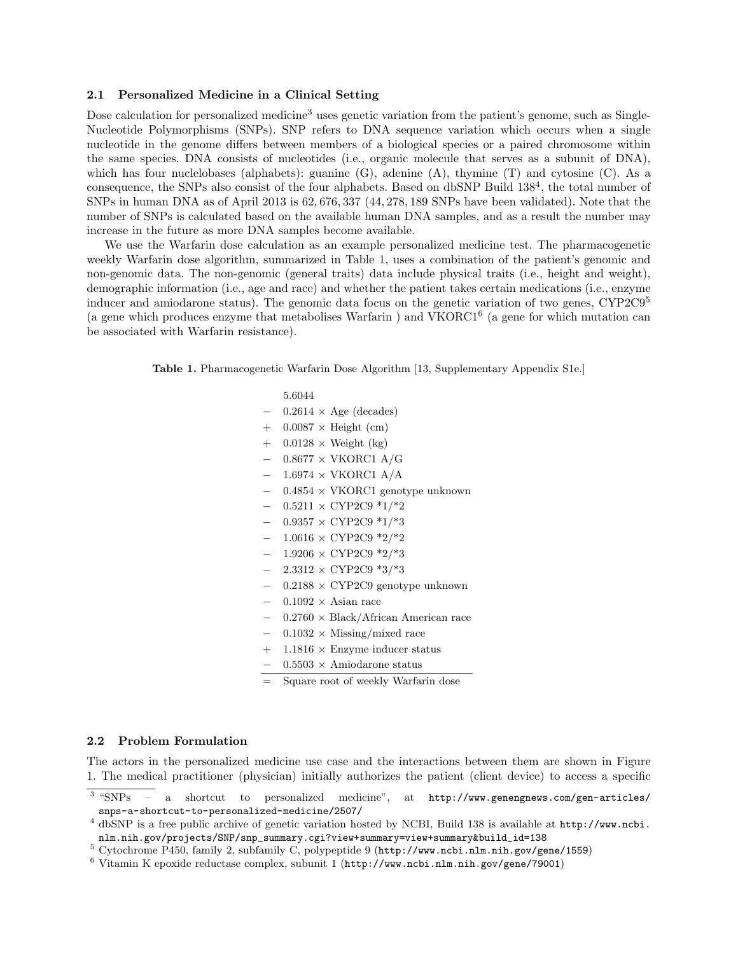### 2.1 Personalized Medicine in a Clinical Setting

Dose calculation for personalized medicine<sup>3</sup> uses genetic variation from the patient's genome, such as Single-Nucleotide Polymorphisms (SNPs). SNP refers to DNA sequence variation which occurs when a single nucleotide in the genome differs between members of a biological species or a paired chromosome within the same species. DNA consists of nucleotides (i.e., organic molecule that serves as a subunit of DNA), which has four nuclelobases (alphabets): guanine (G), adenine (A), thymine (T) and cytosine (C). As a consequence, the SNPs also consist of the four alphabets. Based on dbSNP Build  $138^4$ , the total number of SNPs in human DNA as of April 2013 is 62, 676, 337 (44, 278, 189 SNPs have been validated). Note that the number of SNPs is calculated based on the available human DNA samples, and as a result the number may increase in the future as more DNA samples become available.

We use the Warfarin dose calculation as an example personalized medicine test. The pharmacogenetic weekly Warfarin dose algorithm, summarized in Table 1, uses a combination of the patient's genomic and non-genomic data. The non-genomic (general traits) data include physical traits (i.e., height and weight), demographic information (i.e., age and race) and whether the patient takes certain medications (i.e., enzyme inducer and amiodarone status). The genomic data focus on the genetic variation of two genes, CYP2C9<sup>5</sup> (a gene which produces enzyme that metabolises Warfarin ) and VKORC1<sup>6</sup> (a gene for which mutation can be associated with Warfarin resistance).

Table 1. Pharmacogenetic Warfarin Dose Algorithm [13, Supplementary Appendix S1e.]

# 5.6044  $0.2614 \times \text{Age}$  (decades)  $+$  0.0087  $\times$  Height (cm)  $+$  0.0128  $\times$  Weight (kg)  $0.8677 \times$  VKORC1 A/G  $1.6974 \times$  VKORC1 A/A − 0.4854 × VKORC1 genotype unknown  $0.5211 \times CYP2C9$  \*1/\*2  $0.9357 \times$  CYP2C9  $*1/*3$ − 1.0616 × CYP2C9 \*2/\*2  $1.9206 \times CYP2C9$  \*2/\*3  $2.3312 \times CYP2C9$  \*3/\*3  $-0.2188 \times CYP2C9$  genotype unknown  $0.1092 \times$  Asian race − 0.2760 × Black/African American race  $0.1032 \times$  Missing/mixed race  $+$  1.1816  $\times$  Enzyme inducer status − 0.5503 × Amiodarone status Square root of weekly Warfarin dose

#### 2.2 Problem Formulation

The actors in the personalized medicine use case and the interactions between them are shown in Figure 1. The medical practitioner (physician) initially authorizes the patient (client device) to access a specific

<sup>5</sup> Cytochrome P450, family 2, subfamily C, polypeptide 9 (http://www.ncbi.nlm.nih.gov/gene/1559)

 $3$  "SNPs  $-$  a shortcut to personalized medicine", at http://www.genengnews.com/gen-articles/ snps-a-shortcut-to-personalized-medicine/2507/

<sup>4</sup> dbSNP is a free public archive of genetic variation hosted by NCBI, Build 138 is available at http://www.ncbi. nlm.nih.gov/projects/SNP/snp\_summary.cgi?view+summary=view+summary&build\_id=138

 $6$  Vitamin K epoxide reductase complex, subunit 1 (http://www.ncbi.nlm.nih.gov/gene/79001)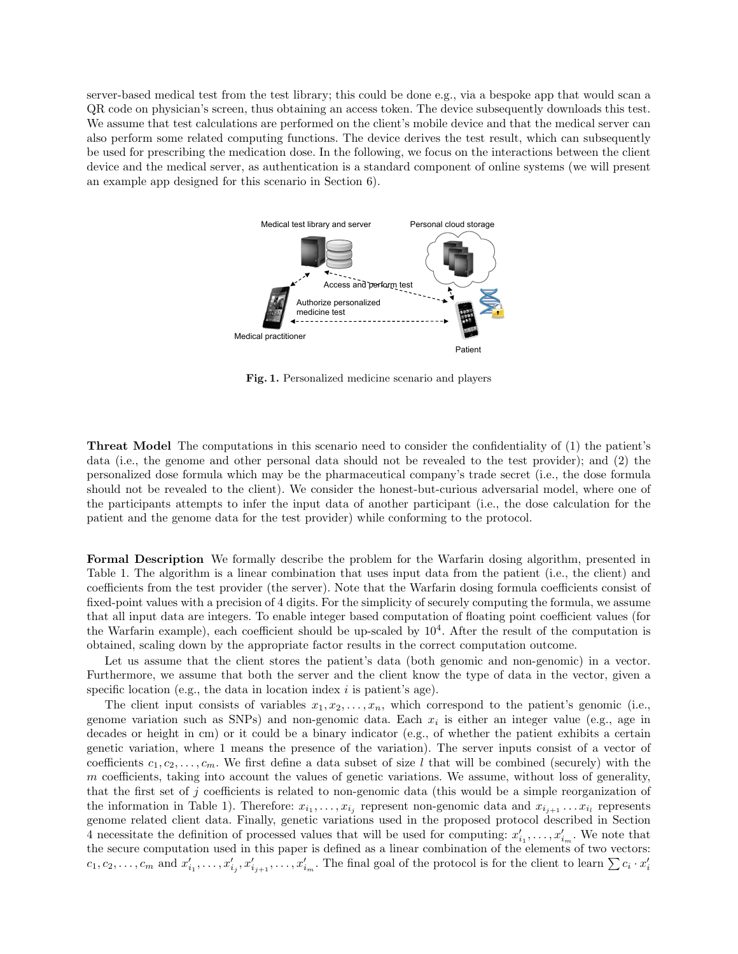server-based medical test from the test library; this could be done e.g., via a bespoke app that would scan a QR code on physician's screen, thus obtaining an access token. The device subsequently downloads this test. We assume that test calculations are performed on the client's mobile device and that the medical server can also perform some related computing functions. The device derives the test result, which can subsequently be used for prescribing the medication dose. In the following, we focus on the interactions between the client device and the medical server, as authentication is a standard component of online systems (we will present an example app designed for this scenario in Section 6).



Fig. 1. Personalized medicine scenario and players

Threat Model The computations in this scenario need to consider the confidentiality of (1) the patient's data (i.e., the genome and other personal data should not be revealed to the test provider); and (2) the personalized dose formula which may be the pharmaceutical company's trade secret (i.e., the dose formula should not be revealed to the client). We consider the honest-but-curious adversarial model, where one of the participants attempts to infer the input data of another participant (i.e., the dose calculation for the patient and the genome data for the test provider) while conforming to the protocol.

Formal Description We formally describe the problem for the Warfarin dosing algorithm, presented in Table 1. The algorithm is a linear combination that uses input data from the patient (i.e., the client) and coefficients from the test provider (the server). Note that the Warfarin dosing formula coefficients consist of fixed-point values with a precision of 4 digits. For the simplicity of securely computing the formula, we assume that all input data are integers. To enable integer based computation of floating point coefficient values (for the Warfarin example), each coefficient should be up-scaled by  $10^4$ . After the result of the computation is obtained, scaling down by the appropriate factor results in the correct computation outcome.

Let us assume that the client stores the patient's data (both genomic and non-genomic) in a vector. Furthermore, we assume that both the server and the client know the type of data in the vector, given a specific location (e.g., the data in location index  $i$  is patient's age).

The client input consists of variables  $x_1, x_2, \ldots, x_n$ , which correspond to the patient's genomic (i.e., genome variation such as SNPs) and non-genomic data. Each  $x_i$  is either an integer value (e.g., age in decades or height in cm) or it could be a binary indicator (e.g., of whether the patient exhibits a certain genetic variation, where 1 means the presence of the variation). The server inputs consist of a vector of coefficients  $c_1, c_2, \ldots, c_m$ . We first define a data subset of size l that will be combined (securely) with the m coefficients, taking into account the values of genetic variations. We assume, without loss of generality, that the first set of j coefficients is related to non-genomic data (this would be a simple reorganization of the information in Table 1). Therefore:  $x_{i_1}, \ldots, x_{i_j}$  represent non-genomic data and  $x_{i_{j+1}} \ldots x_{i_l}$  represents genome related client data. Finally, genetic variations used in the proposed protocol described in Section 4 necessitate the definition of processed values that will be used for computing:  $x'_{i_1}, \ldots, x'_{i_m}$ . We note that the secure computation used in this paper is defined as a linear combination of the elements of two vectors:  $c_1, c_2, \ldots, c_m$  and  $x'_{i_1}, \ldots, x'_{i_j}, x'_{i_{j+1}}, \ldots, x'_{i_m}$ . The final goal of the protocol is for the client to learn  $\sum c_i \cdot x'_i$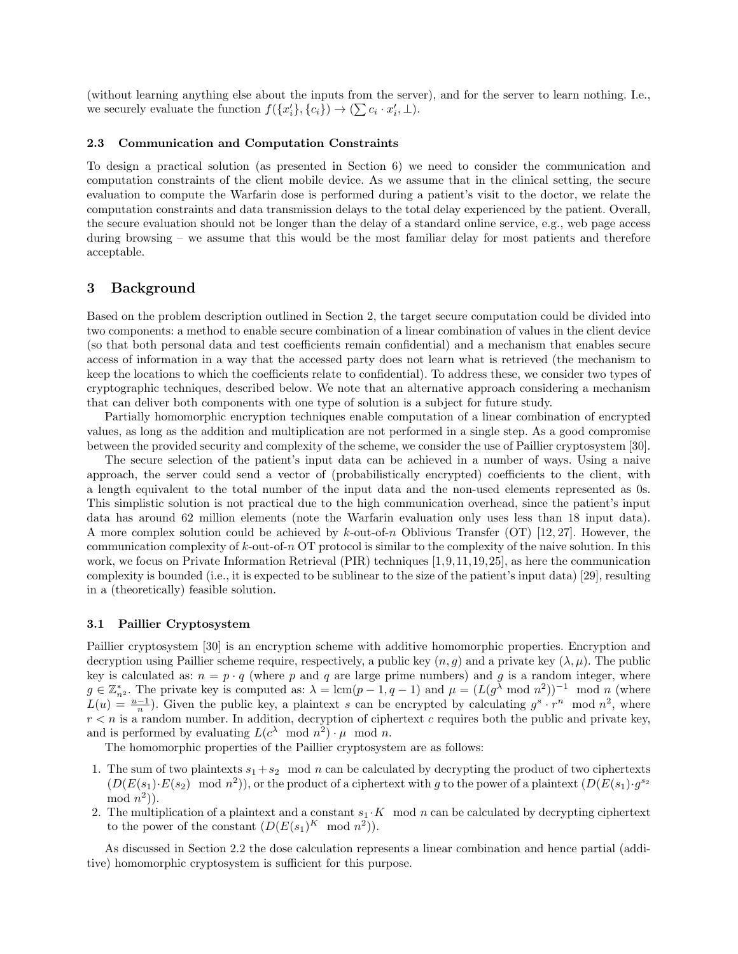(without learning anything else about the inputs from the server), and for the server to learn nothing. I.e., we securely evaluate the function  $f({x'_{i}}), {c_{i}}) \rightarrow (\sum c_{i} \cdot x'_{i}, \perp)$ .

#### 2.3 Communication and Computation Constraints

To design a practical solution (as presented in Section 6) we need to consider the communication and computation constraints of the client mobile device. As we assume that in the clinical setting, the secure evaluation to compute the Warfarin dose is performed during a patient's visit to the doctor, we relate the computation constraints and data transmission delays to the total delay experienced by the patient. Overall, the secure evaluation should not be longer than the delay of a standard online service, e.g., web page access during browsing – we assume that this would be the most familiar delay for most patients and therefore acceptable.

# 3 Background

Based on the problem description outlined in Section 2, the target secure computation could be divided into two components: a method to enable secure combination of a linear combination of values in the client device (so that both personal data and test coefficients remain confidential) and a mechanism that enables secure access of information in a way that the accessed party does not learn what is retrieved (the mechanism to keep the locations to which the coefficients relate to confidential). To address these, we consider two types of cryptographic techniques, described below. We note that an alternative approach considering a mechanism that can deliver both components with one type of solution is a subject for future study.

Partially homomorphic encryption techniques enable computation of a linear combination of encrypted values, as long as the addition and multiplication are not performed in a single step. As a good compromise between the provided security and complexity of the scheme, we consider the use of Paillier cryptosystem [30].

The secure selection of the patient's input data can be achieved in a number of ways. Using a naive approach, the server could send a vector of (probabilistically encrypted) coefficients to the client, with a length equivalent to the total number of the input data and the non-used elements represented as 0s. This simplistic solution is not practical due to the high communication overhead, since the patient's input data has around 62 million elements (note the Warfarin evaluation only uses less than 18 input data). A more complex solution could be achieved by k-out-of-n Oblivious Transfer (OT) [12, 27]. However, the communication complexity of k-out-of-n OT protocol is similar to the complexity of the naive solution. In this work, we focus on Private Information Retrieval (PIR) techniques [1,9,11,19,25], as here the communication complexity is bounded (i.e., it is expected to be sublinear to the size of the patient's input data) [29], resulting in a (theoretically) feasible solution.

### 3.1 Paillier Cryptosystem

Paillier cryptosystem [30] is an encryption scheme with additive homomorphic properties. Encryption and decryption using Paillier scheme require, respectively, a public key  $(n, g)$  and a private key  $(\lambda, \mu)$ . The public key is calculated as:  $n = p \cdot q$  (where p and q are large prime numbers) and q is a random integer, where  $g \in \mathbb{Z}_{n^2}^*$ . The private key is computed as:  $\lambda = \text{lcm}(p-1, q-1)$  and  $\mu = (L(g^{\lambda} \mod n^2))^{-1} \mod n$  (where  $L(u) = \frac{u-1}{n}$ . Given the public key, a plaintext s can be encrypted by calculating  $g^s \cdot r^n \mod n^2$ , where  $r < n$  is a random number. In addition, decryption of ciphertext c requires both the public and private key, and is performed by evaluating  $L(c^{\lambda} \mod n^2) \cdot \mu \mod n$ .

The homomorphic properties of the Paillier cryptosystem are as follows:

- 1. The sum of two plaintexts  $s_1 + s_2 \mod n$  can be calculated by decrypting the product of two ciphertexts  $(D(E(s_1) \cdot E(s_2) \mod n^2))$ , or the product of a ciphertext with g to the power of a plaintext  $(D(E(s_1) \cdot g^{s_2}))$  $mod\;n^2$ ).
- 2. The multiplication of a plaintext and a constant  $s_1 \cdot K \mod n$  can be calculated by decrypting ciphertext to the power of the constant  $(D(E(s_1)^K \mod n^2)).$

As discussed in Section 2.2 the dose calculation represents a linear combination and hence partial (additive) homomorphic cryptosystem is sufficient for this purpose.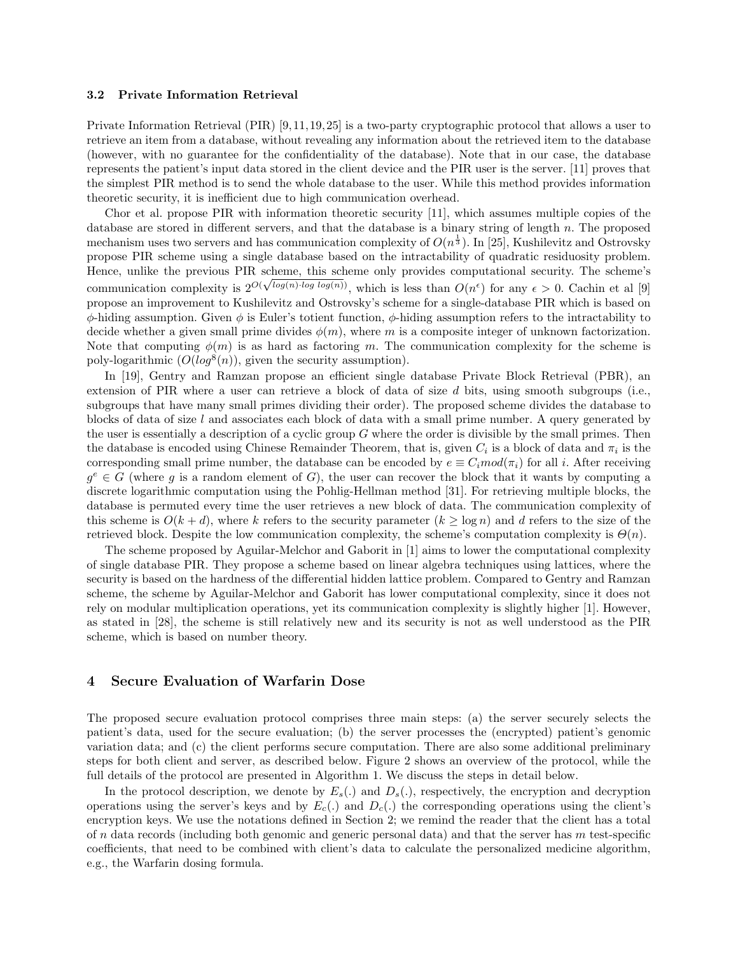#### 3.2 Private Information Retrieval

Private Information Retrieval (PIR) [9, 11, 19, 25] is a two-party cryptographic protocol that allows a user to retrieve an item from a database, without revealing any information about the retrieved item to the database (however, with no guarantee for the confidentiality of the database). Note that in our case, the database represents the patient's input data stored in the client device and the PIR user is the server. [11] proves that the simplest PIR method is to send the whole database to the user. While this method provides information theoretic security, it is inefficient due to high communication overhead.

Chor et al. propose PIR with information theoretic security [11], which assumes multiple copies of the database are stored in different servers, and that the database is a binary string of length  $n$ . The proposed mechanism uses two servers and has communication complexity of  $O(n^{\frac{1}{3}})$ . In [25], Kushilevitz and Ostrovsky propose PIR scheme using a single database based on the intractability of quadratic residuosity problem. Hence, unlike the previous PIR scheme, this scheme only provides computational security. The scheme's communication complexity is  $2^{O(\sqrt{\log(n)} \cdot \log \log(n))}$ , which is less than  $O(n^{\epsilon})$  for any  $\epsilon > 0$ . Cachin et al [9] propose an improvement to Kushilevitz and Ostrovsky's scheme for a single-database PIR which is based on  $\phi$ -hiding assumption. Given  $\phi$  is Euler's totient function,  $\phi$ -hiding assumption refers to the intractability to decide whether a given small prime divides  $\phi(m)$ , where m is a composite integer of unknown factorization. Note that computing  $\phi(m)$  is as hard as factoring m. The communication complexity for the scheme is poly-logarithmic  $(O(log^8(n))$ , given the security assumption).

In [19], Gentry and Ramzan propose an efficient single database Private Block Retrieval (PBR), an extension of PIR where a user can retrieve a block of data of size d bits, using smooth subgroups (i.e., subgroups that have many small primes dividing their order). The proposed scheme divides the database to blocks of data of size l and associates each block of data with a small prime number. A query generated by the user is essentially a description of a cyclic group  $G$  where the order is divisible by the small primes. Then the database is encoded using Chinese Remainder Theorem, that is, given  $C_i$  is a block of data and  $\pi_i$  is the corresponding small prime number, the database can be encoded by  $e \equiv C_i mod(\pi_i)$  for all i. After receiving  $g^e \in G$  (where g is a random element of G), the user can recover the block that it wants by computing a discrete logarithmic computation using the Pohlig-Hellman method [31]. For retrieving multiple blocks, the database is permuted every time the user retrieves a new block of data. The communication complexity of this scheme is  $O(k+d)$ , where k refers to the security parameter  $(k \geq \log n)$  and d refers to the size of the retrieved block. Despite the low communication complexity, the scheme's computation complexity is  $\Theta(n)$ .

The scheme proposed by Aguilar-Melchor and Gaborit in [1] aims to lower the computational complexity of single database PIR. They propose a scheme based on linear algebra techniques using lattices, where the security is based on the hardness of the differential hidden lattice problem. Compared to Gentry and Ramzan scheme, the scheme by Aguilar-Melchor and Gaborit has lower computational complexity, since it does not rely on modular multiplication operations, yet its communication complexity is slightly higher [1]. However, as stated in [28], the scheme is still relatively new and its security is not as well understood as the PIR scheme, which is based on number theory.

# 4 Secure Evaluation of Warfarin Dose

The proposed secure evaluation protocol comprises three main steps: (a) the server securely selects the patient's data, used for the secure evaluation; (b) the server processes the (encrypted) patient's genomic variation data; and (c) the client performs secure computation. There are also some additional preliminary steps for both client and server, as described below. Figure 2 shows an overview of the protocol, while the full details of the protocol are presented in Algorithm 1. We discuss the steps in detail below.

In the protocol description, we denote by  $E_s(.)$  and  $D_s(.)$ , respectively, the encryption and decryption operations using the server's keys and by  $E_c(.)$  and  $D_c(.)$  the corresponding operations using the client's encryption keys. We use the notations defined in Section 2; we remind the reader that the client has a total of n data records (including both genomic and generic personal data) and that the server has  $m$  test-specific coefficients, that need to be combined with client's data to calculate the personalized medicine algorithm, e.g., the Warfarin dosing formula.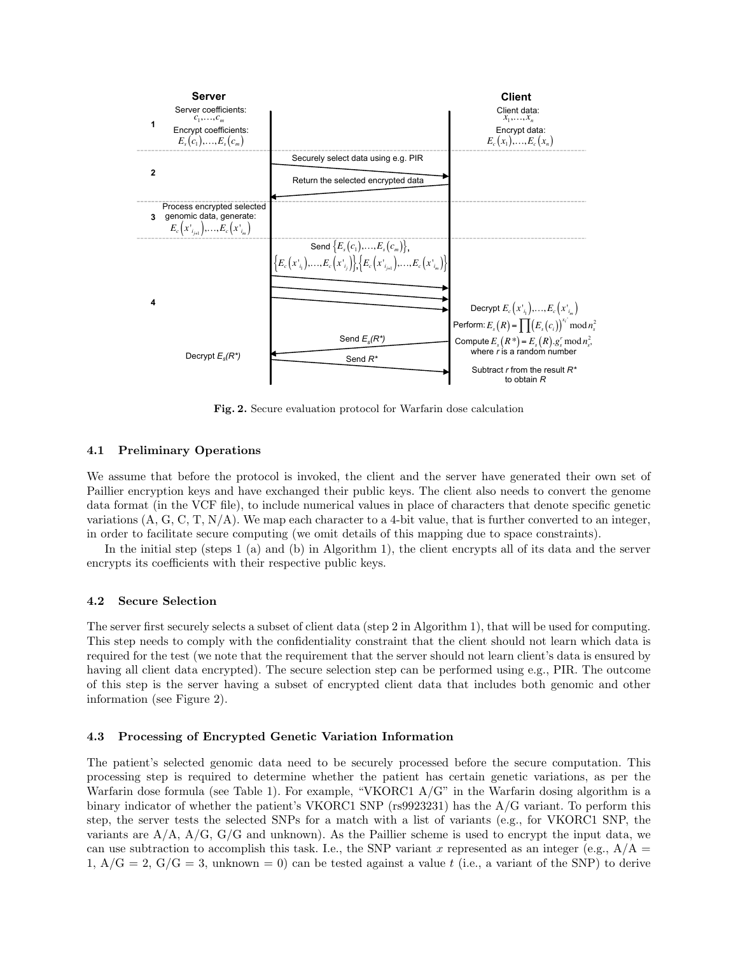

Fig. 2. Secure evaluation protocol for Warfarin dose calculation

## 4.1 Preliminary Operations

We assume that before the protocol is invoked, the client and the server have generated their own set of Paillier encryption keys and have exchanged their public keys. The client also needs to convert the genome data format (in the VCF file), to include numerical values in place of characters that denote specific genetic variations  $(A, G, C, T, N/A)$ . We map each character to a 4-bit value, that is further converted to an integer, in order to facilitate secure computing (we omit details of this mapping due to space constraints).

In the initial step (steps 1 (a) and (b) in Algorithm 1), the client encrypts all of its data and the server encrypts its coefficients with their respective public keys.

## 4.2 Secure Selection

The server first securely selects a subset of client data (step 2 in Algorithm 1), that will be used for computing. This step needs to comply with the confidentiality constraint that the client should not learn which data is required for the test (we note that the requirement that the server should not learn client's data is ensured by having all client data encrypted). The secure selection step can be performed using e.g., PIR. The outcome of this step is the server having a subset of encrypted client data that includes both genomic and other information (see Figure 2).

#### 4.3 Processing of Encrypted Genetic Variation Information

The patient's selected genomic data need to be securely processed before the secure computation. This processing step is required to determine whether the patient has certain genetic variations, as per the Warfarin dose formula (see Table 1). For example, "VKORC1 A/G" in the Warfarin dosing algorithm is a binary indicator of whether the patient's VKORC1 SNP (rs9923231) has the A/G variant. To perform this step, the server tests the selected SNPs for a match with a list of variants (e.g., for VKORC1 SNP, the variants are  $A/A$ ,  $A/G$ ,  $G/G$  and unknown). As the Paillier scheme is used to encrypt the input data, we can use subtraction to accomplish this task. I.e., the SNP variant x represented as an integer (e.g.,  $A/A =$ 1,  $A/G = 2$ ,  $G/G = 3$ , unknown = 0) can be tested against a value t (i.e., a variant of the SNP) to derive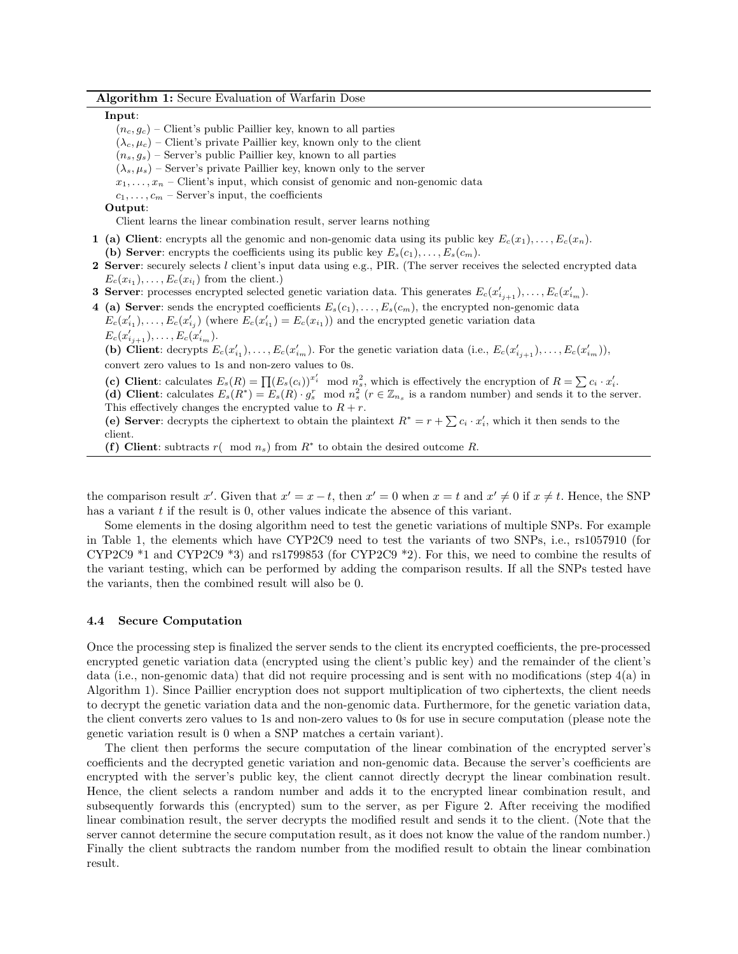Algorithm 1: Secure Evaluation of Warfarin Dose

#### Input:

- $(n_c, g_c)$  Client's public Paillier key, known to all parties
- $(\lambda_c, \mu_c)$  Client's private Paillier key, known only to the client
- $(n_s, q_s)$  Server's public Paillier key, known to all parties
- $(\lambda_s, \mu_s)$  Server's private Paillier key, known only to the server
- $x_1, \ldots, x_n$  Client's input, which consist of genomic and non-genomic data
- $c_1, \ldots, c_m$  Server's input, the coefficients

Output:

Client learns the linear combination result, server learns nothing

- 1 (a) Client: encrypts all the genomic and non-genomic data using its public key  $E_c(x_1), \ldots, E_c(x_n)$ . (b) Server: encrypts the coefficients using its public key  $E_s(c_1), \ldots, E_s(c_m)$ .
- 2 Server: securely selects l client's input data using e.g., PIR. (The server receives the selected encrypted data  $E_c(x_{i_1}), \ldots, E_c(x_{i_l})$  from the client.)
- **3 Server:** processes encrypted selected genetic variation data. This generates  $E_c(x'_{i_{j+1}}), \ldots, E_c(x'_{i_m}).$
- 4 (a) Server: sends the encrypted coefficients  $E_s(c_1), \ldots, E_s(c_m)$ , the encrypted non-genomic data
- $E_c(x'_{i_1}), \ldots, E_c(x'_{i_j})$  (where  $E_c(x'_{i_1}) = E_c(x_{i_1})$ ) and the encrypted genetic variation data  $E_c(x'_{i_{j+1}}), \ldots, E_c(x'_{i_m}).$

(b) Client: decrypts  $E_c(x'_{i_1}), \ldots, E_c(x'_{i_m})$ . For the genetic variation data (i.e.,  $E_c(x'_{i_{j+1}}), \ldots, E_c(x'_{i_m})$ ), convert zero values to 1s and non-zero values to 0s.

- (c) Client: calculates  $E_s(R) = \prod (E_s(c_i))^{x'_i} \mod n_s^2$ , which is effectively the encryption of  $R = \sum c_i \cdot x'_i$ .
- (d) Client: calculates  $E_s(R^*) = E_s(R) \cdot g_s^r \mod n_s^2$  ( $r \in \mathbb{Z}_{n_s}$  is a random number) and sends it to the server. This effectively changes the encrypted value to  $R + r$ .
- (e) Server: decrypts the ciphertext to obtain the plaintext  $R^* = r + \sum c_i \cdot x'_i$ , which it then sends to the client.
- (f) Client: subtracts  $r( \mod n_s)$  from  $R^*$  to obtain the desired outcome R.

the comparison result x'. Given that  $x' = x - t$ , then  $x' = 0$  when  $x = t$  and  $x' \neq 0$  if  $x \neq t$ . Hence, the SNP has a variant  $t$  if the result is 0, other values indicate the absence of this variant.

Some elements in the dosing algorithm need to test the genetic variations of multiple SNPs. For example in Table 1, the elements which have CYP2C9 need to test the variants of two SNPs, i.e., rs1057910 (for CYP2C9 \*1 and CYP2C9 \*3) and rs1799853 (for CYP2C9 \*2). For this, we need to combine the results of the variant testing, which can be performed by adding the comparison results. If all the SNPs tested have the variants, then the combined result will also be 0.

#### 4.4 Secure Computation

Once the processing step is finalized the server sends to the client its encrypted coefficients, the pre-processed encrypted genetic variation data (encrypted using the client's public key) and the remainder of the client's data (i.e., non-genomic data) that did not require processing and is sent with no modifications (step 4(a) in Algorithm 1). Since Paillier encryption does not support multiplication of two ciphertexts, the client needs to decrypt the genetic variation data and the non-genomic data. Furthermore, for the genetic variation data, the client converts zero values to 1s and non-zero values to 0s for use in secure computation (please note the genetic variation result is 0 when a SNP matches a certain variant).

The client then performs the secure computation of the linear combination of the encrypted server's coefficients and the decrypted genetic variation and non-genomic data. Because the server's coefficients are encrypted with the server's public key, the client cannot directly decrypt the linear combination result. Hence, the client selects a random number and adds it to the encrypted linear combination result, and subsequently forwards this (encrypted) sum to the server, as per Figure 2. After receiving the modified linear combination result, the server decrypts the modified result and sends it to the client. (Note that the server cannot determine the secure computation result, as it does not know the value of the random number.) Finally the client subtracts the random number from the modified result to obtain the linear combination result.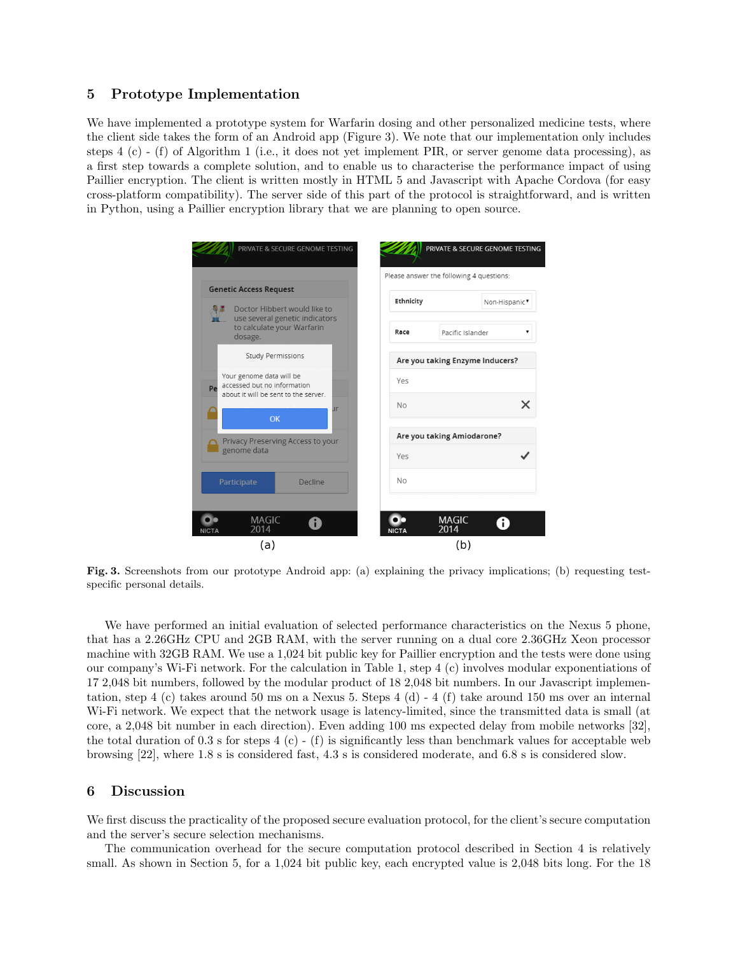# 5 Prototype Implementation

We have implemented a prototype system for Warfarin dosing and other personalized medicine tests, where the client side takes the form of an Android app (Figure 3). We note that our implementation only includes steps 4 (c) - (f) of Algorithm 1 (i.e., it does not yet implement PIR, or server genome data processing), as a first step towards a complete solution, and to enable us to characterise the performance impact of using Paillier encryption. The client is written mostly in HTML 5 and Javascript with Apache Cordova (for easy cross-platform compatibility). The server side of this part of the protocol is straightforward, and is written in Python, using a Paillier encryption library that we are planning to open source.



Fig. 3. Screenshots from our prototype Android app: (a) explaining the privacy implications; (b) requesting testspecific personal details.

We have performed an initial evaluation of selected performance characteristics on the Nexus 5 phone, that has a 2.26GHz CPU and 2GB RAM, with the server running on a dual core 2.36GHz Xeon processor machine with 32GB RAM. We use a 1,024 bit public key for Paillier encryption and the tests were done using our company's Wi-Fi network. For the calculation in Table 1, step 4 (c) involves modular exponentiations of 17 2,048 bit numbers, followed by the modular product of 18 2,048 bit numbers. In our Javascript implementation, step 4 (c) takes around 50 ms on a Nexus 5. Steps 4 (d) - 4 (f) take around 150 ms over an internal Wi-Fi network. We expect that the network usage is latency-limited, since the transmitted data is small (at core, a 2,048 bit number in each direction). Even adding 100 ms expected delay from mobile networks [32], the total duration of 0.3 s for steps 4 (c) - (f) is significantly less than benchmark values for acceptable web browsing [22], where 1.8 s is considered fast, 4.3 s is considered moderate, and 6.8 s is considered slow.

# 6 Discussion

We first discuss the practicality of the proposed secure evaluation protocol, for the client's secure computation and the server's secure selection mechanisms.

The communication overhead for the secure computation protocol described in Section 4 is relatively small. As shown in Section 5, for a 1,024 bit public key, each encrypted value is 2,048 bits long. For the 18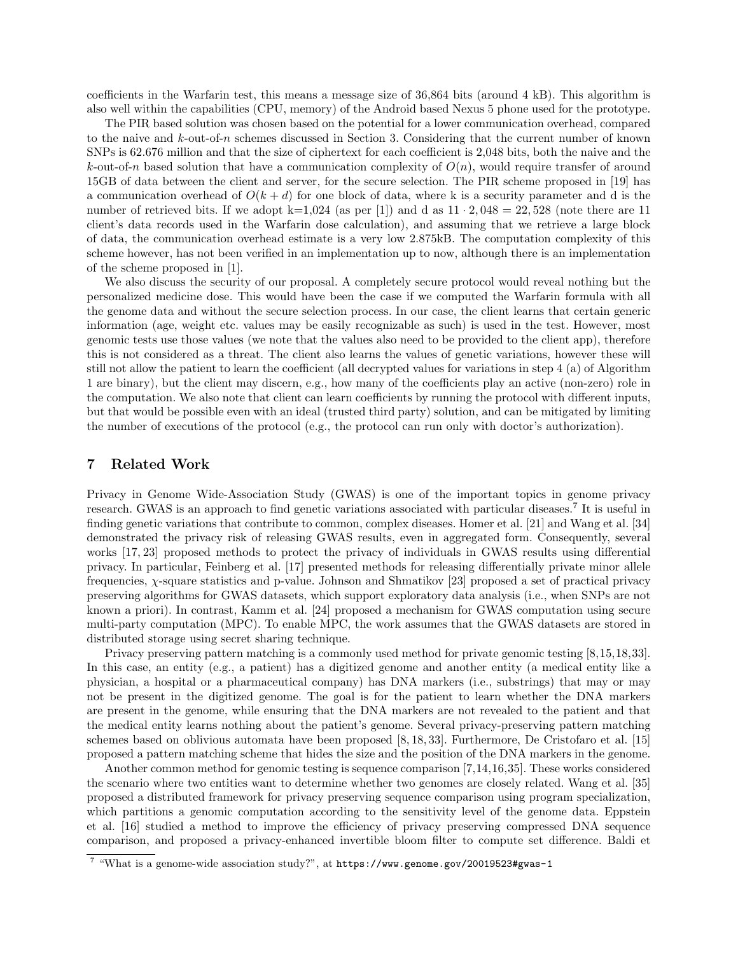coefficients in the Warfarin test, this means a message size of 36,864 bits (around 4 kB). This algorithm is also well within the capabilities (CPU, memory) of the Android based Nexus 5 phone used for the prototype.

The PIR based solution was chosen based on the potential for a lower communication overhead, compared to the naive and  $k$ -out-of-n schemes discussed in Section 3. Considering that the current number of known SNPs is 62.676 million and that the size of ciphertext for each coefficient is 2,048 bits, both the naive and the k-out-of-n based solution that have a communication complexity of  $O(n)$ , would require transfer of around 15GB of data between the client and server, for the secure selection. The PIR scheme proposed in [19] has a communication overhead of  $O(k + d)$  for one block of data, where k is a security parameter and d is the number of retrieved bits. If we adopt  $k=1,024$  (as per [1]) and d as  $11 \cdot 2,048 = 22,528$  (note there are 11 client's data records used in the Warfarin dose calculation), and assuming that we retrieve a large block of data, the communication overhead estimate is a very low 2.875kB. The computation complexity of this scheme however, has not been verified in an implementation up to now, although there is an implementation of the scheme proposed in [1].

We also discuss the security of our proposal. A completely secure protocol would reveal nothing but the personalized medicine dose. This would have been the case if we computed the Warfarin formula with all the genome data and without the secure selection process. In our case, the client learns that certain generic information (age, weight etc. values may be easily recognizable as such) is used in the test. However, most genomic tests use those values (we note that the values also need to be provided to the client app), therefore this is not considered as a threat. The client also learns the values of genetic variations, however these will still not allow the patient to learn the coefficient (all decrypted values for variations in step 4 (a) of Algorithm 1 are binary), but the client may discern, e.g., how many of the coefficients play an active (non-zero) role in the computation. We also note that client can learn coefficients by running the protocol with different inputs, but that would be possible even with an ideal (trusted third party) solution, and can be mitigated by limiting the number of executions of the protocol (e.g., the protocol can run only with doctor's authorization).

# 7 Related Work

Privacy in Genome Wide-Association Study (GWAS) is one of the important topics in genome privacy research. GWAS is an approach to find genetic variations associated with particular diseases.<sup>7</sup> It is useful in finding genetic variations that contribute to common, complex diseases. Homer et al. [21] and Wang et al. [34] demonstrated the privacy risk of releasing GWAS results, even in aggregated form. Consequently, several works [17, 23] proposed methods to protect the privacy of individuals in GWAS results using differential privacy. In particular, Feinberg et al. [17] presented methods for releasing differentially private minor allele frequencies, χ-square statistics and p-value. Johnson and Shmatikov [23] proposed a set of practical privacy preserving algorithms for GWAS datasets, which support exploratory data analysis (i.e., when SNPs are not known a priori). In contrast, Kamm et al. [24] proposed a mechanism for GWAS computation using secure multi-party computation (MPC). To enable MPC, the work assumes that the GWAS datasets are stored in distributed storage using secret sharing technique.

Privacy preserving pattern matching is a commonly used method for private genomic testing [8,15,18,33]. In this case, an entity (e.g., a patient) has a digitized genome and another entity (a medical entity like a physician, a hospital or a pharmaceutical company) has DNA markers (i.e., substrings) that may or may not be present in the digitized genome. The goal is for the patient to learn whether the DNA markers are present in the genome, while ensuring that the DNA markers are not revealed to the patient and that the medical entity learns nothing about the patient's genome. Several privacy-preserving pattern matching schemes based on oblivious automata have been proposed [8, 18, 33]. Furthermore, De Cristofaro et al. [15] proposed a pattern matching scheme that hides the size and the position of the DNA markers in the genome.

Another common method for genomic testing is sequence comparison [7,14,16,35]. These works considered the scenario where two entities want to determine whether two genomes are closely related. Wang et al. [35] proposed a distributed framework for privacy preserving sequence comparison using program specialization, which partitions a genomic computation according to the sensitivity level of the genome data. Eppstein et al. [16] studied a method to improve the efficiency of privacy preserving compressed DNA sequence comparison, and proposed a privacy-enhanced invertible bloom filter to compute set difference. Baldi et

<sup>7</sup> "What is a genome-wide association study?", at https://www.genome.gov/20019523#gwas-1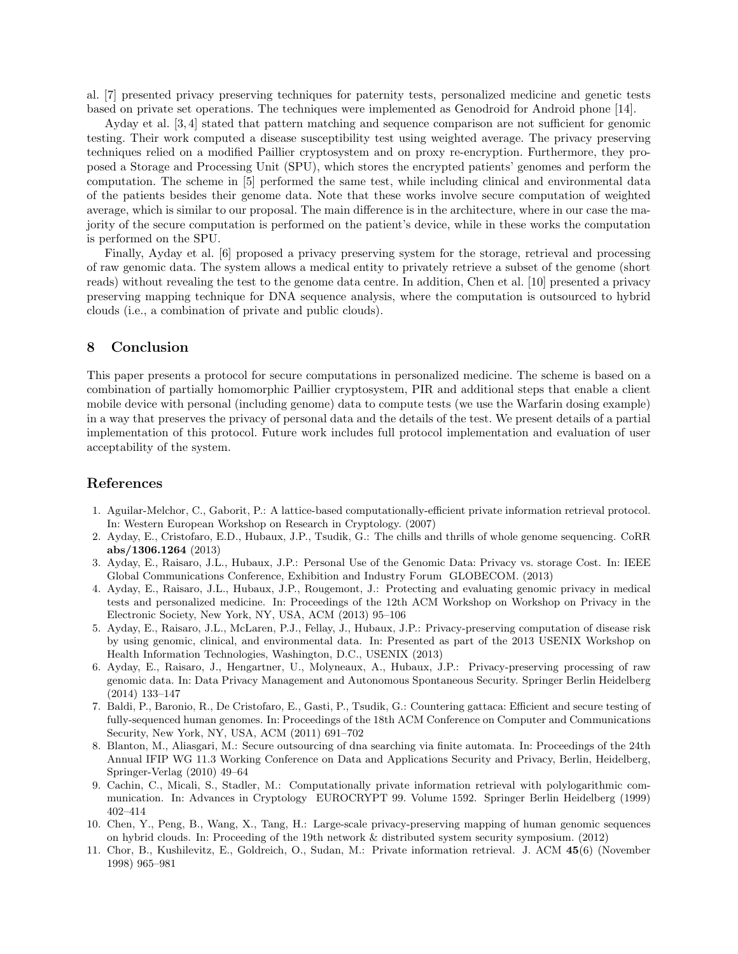al. [7] presented privacy preserving techniques for paternity tests, personalized medicine and genetic tests based on private set operations. The techniques were implemented as Genodroid for Android phone [14].

Ayday et al. [3, 4] stated that pattern matching and sequence comparison are not sufficient for genomic testing. Their work computed a disease susceptibility test using weighted average. The privacy preserving techniques relied on a modified Paillier cryptosystem and on proxy re-encryption. Furthermore, they proposed a Storage and Processing Unit (SPU), which stores the encrypted patients' genomes and perform the computation. The scheme in [5] performed the same test, while including clinical and environmental data of the patients besides their genome data. Note that these works involve secure computation of weighted average, which is similar to our proposal. The main difference is in the architecture, where in our case the majority of the secure computation is performed on the patient's device, while in these works the computation is performed on the SPU.

Finally, Ayday et al. [6] proposed a privacy preserving system for the storage, retrieval and processing of raw genomic data. The system allows a medical entity to privately retrieve a subset of the genome (short reads) without revealing the test to the genome data centre. In addition, Chen et al. [10] presented a privacy preserving mapping technique for DNA sequence analysis, where the computation is outsourced to hybrid clouds (i.e., a combination of private and public clouds).

# 8 Conclusion

This paper presents a protocol for secure computations in personalized medicine. The scheme is based on a combination of partially homomorphic Paillier cryptosystem, PIR and additional steps that enable a client mobile device with personal (including genome) data to compute tests (we use the Warfarin dosing example) in a way that preserves the privacy of personal data and the details of the test. We present details of a partial implementation of this protocol. Future work includes full protocol implementation and evaluation of user acceptability of the system.

# References

- 1. Aguilar-Melchor, C., Gaborit, P.: A lattice-based computationally-efficient private information retrieval protocol. In: Western European Workshop on Research in Cryptology. (2007)
- 2. Ayday, E., Cristofaro, E.D., Hubaux, J.P., Tsudik, G.: The chills and thrills of whole genome sequencing. CoRR abs/1306.1264 (2013)
- 3. Ayday, E., Raisaro, J.L., Hubaux, J.P.: Personal Use of the Genomic Data: Privacy vs. storage Cost. In: IEEE Global Communications Conference, Exhibition and Industry Forum GLOBECOM. (2013)
- 4. Ayday, E., Raisaro, J.L., Hubaux, J.P., Rougemont, J.: Protecting and evaluating genomic privacy in medical tests and personalized medicine. In: Proceedings of the 12th ACM Workshop on Workshop on Privacy in the Electronic Society, New York, NY, USA, ACM (2013) 95–106
- 5. Ayday, E., Raisaro, J.L., McLaren, P.J., Fellay, J., Hubaux, J.P.: Privacy-preserving computation of disease risk by using genomic, clinical, and environmental data. In: Presented as part of the 2013 USENIX Workshop on Health Information Technologies, Washington, D.C., USENIX (2013)
- 6. Ayday, E., Raisaro, J., Hengartner, U., Molyneaux, A., Hubaux, J.P.: Privacy-preserving processing of raw genomic data. In: Data Privacy Management and Autonomous Spontaneous Security. Springer Berlin Heidelberg (2014) 133–147
- 7. Baldi, P., Baronio, R., De Cristofaro, E., Gasti, P., Tsudik, G.: Countering gattaca: Efficient and secure testing of fully-sequenced human genomes. In: Proceedings of the 18th ACM Conference on Computer and Communications Security, New York, NY, USA, ACM (2011) 691–702
- 8. Blanton, M., Aliasgari, M.: Secure outsourcing of dna searching via finite automata. In: Proceedings of the 24th Annual IFIP WG 11.3 Working Conference on Data and Applications Security and Privacy, Berlin, Heidelberg, Springer-Verlag (2010) 49–64
- 9. Cachin, C., Micali, S., Stadler, M.: Computationally private information retrieval with polylogarithmic communication. In: Advances in Cryptology EUROCRYPT 99. Volume 1592. Springer Berlin Heidelberg (1999) 402–414
- 10. Chen, Y., Peng, B., Wang, X., Tang, H.: Large-scale privacy-preserving mapping of human genomic sequences on hybrid clouds. In: Proceeding of the 19th network & distributed system security symposium. (2012)
- 11. Chor, B., Kushilevitz, E., Goldreich, O., Sudan, M.: Private information retrieval. J. ACM 45(6) (November 1998) 965–981